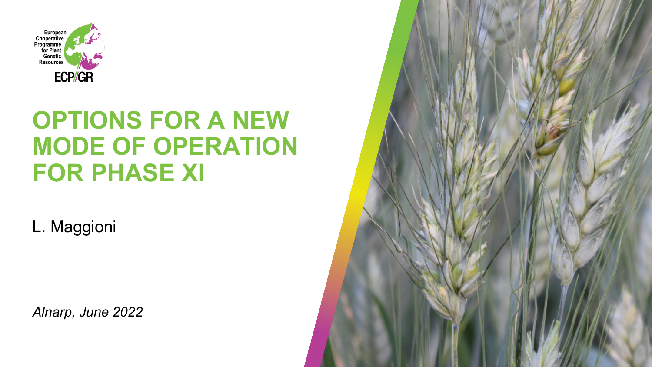

#### **OPTIONS FOR A NEW MODE OF OPERATION FOR PHASE XI**

L. Maggioni

*Alnarp, June 2022*

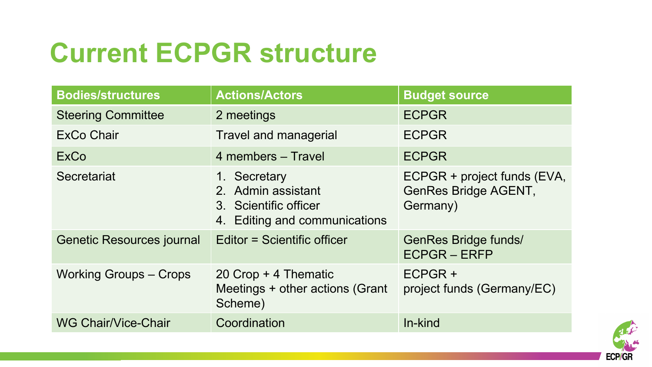## **Current ECPGR structure**

| <b>Bodies/structures</b>         | <b>Actions/Actors</b>                                                                        | <b>Budget source</b>                                            |
|----------------------------------|----------------------------------------------------------------------------------------------|-----------------------------------------------------------------|
| <b>Steering Committee</b>        | 2 meetings                                                                                   | <b>ECPGR</b>                                                    |
| <b>ExCo Chair</b>                | <b>Travel and managerial</b>                                                                 | <b>ECPGR</b>                                                    |
| ExCo                             | 4 members – Travel                                                                           | <b>ECPGR</b>                                                    |
| Secretariat                      | 1. Secretary<br>2. Admin assistant<br>3. Scientific officer<br>4. Editing and communications | ECPGR + project funds (EVA,<br>GenRes Bridge AGENT,<br>Germany) |
| <b>Genetic Resources journal</b> | Editor = Scientific officer                                                                  | <b>GenRes Bridge funds/</b><br><b>ECPGR-ERFP</b>                |
| <b>Working Groups - Crops</b>    | 20 Crop $+$ 4 Thematic<br>Meetings + other actions (Grant<br>Scheme)                         | ECPGR +<br>project funds (Germany/EC)                           |
| <b>WG Chair/Vice-Chair</b>       | Coordination                                                                                 | In-kind                                                         |

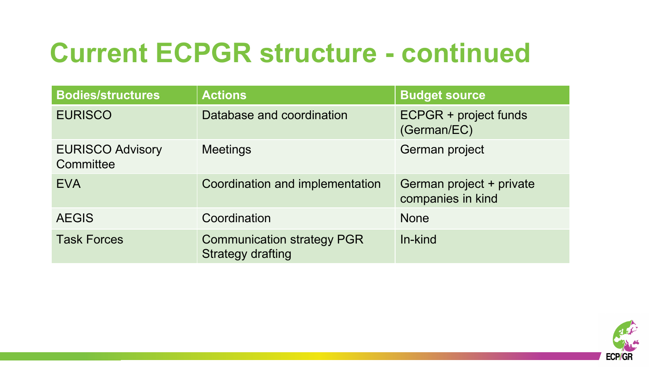# **Current ECPGR structure - continued**

| <b>Bodies/structures</b>             | <b>Actions</b>                                                | <b>Budget source</b>                          |
|--------------------------------------|---------------------------------------------------------------|-----------------------------------------------|
| <b>EURISCO</b>                       | Database and coordination                                     | ECPGR + project funds<br>(German/EC)          |
| <b>EURISCO Advisory</b><br>Committee | <b>Meetings</b>                                               | German project                                |
| <b>EVA</b>                           | Coordination and implementation                               | German project + private<br>companies in kind |
| <b>AEGIS</b>                         | Coordination                                                  | <b>None</b>                                   |
| <b>Task Forces</b>                   | <b>Communication strategy PGR</b><br><b>Strategy drafting</b> | In-kind                                       |

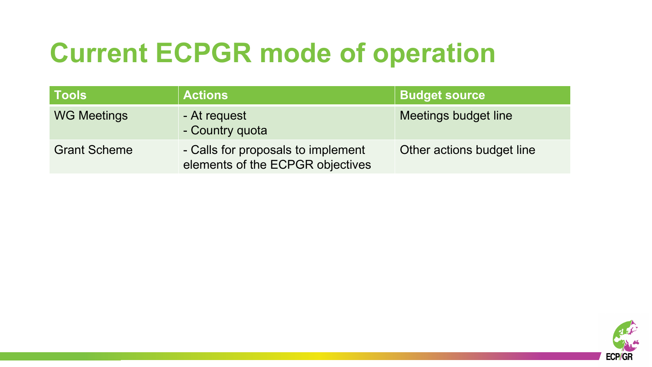# **Current ECPGR mode of operation**

| <b>Tools</b>        | <b>Actions</b>                                                         | <b>Budget source</b>      |
|---------------------|------------------------------------------------------------------------|---------------------------|
| <b>WG Meetings</b>  | - At request<br>- Country quota                                        | Meetings budget line      |
| <b>Grant Scheme</b> | - Calls for proposals to implement<br>elements of the ECPGR objectives | Other actions budget line |

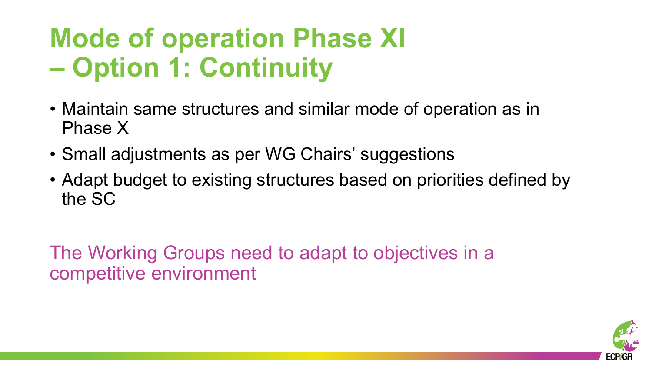## **Mode of operation Phase XI – Option 1: Continuity**

- Maintain same structures and similar mode of operation as in Phase X
- Small adjustments as per WG Chairs' suggestions
- Adapt budget to existing structures based on priorities defined by the SC

The Working Groups need to adapt to objectives in a competitive environment

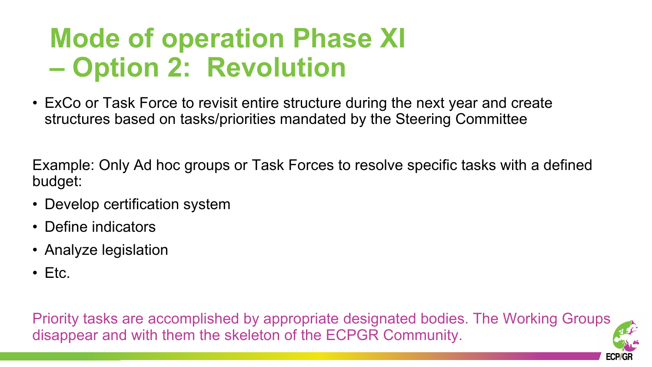### **Mode of operation Phase XI – Option 2: Revolution**

• ExCo or Task Force to revisit entire structure during the next year and create structures based on tasks/priorities mandated by the Steering Committee

Example: Only Ad hoc groups or Task Forces to resolve specific tasks with a defined budget:

- Develop certification system
- Define indicators
- Analyze legislation
- $\cdot$  Etc.

Priority tasks are accomplished by appropriate designated bodies. The Working Groups disappear and with them the skeleton of the ECPGR Community.